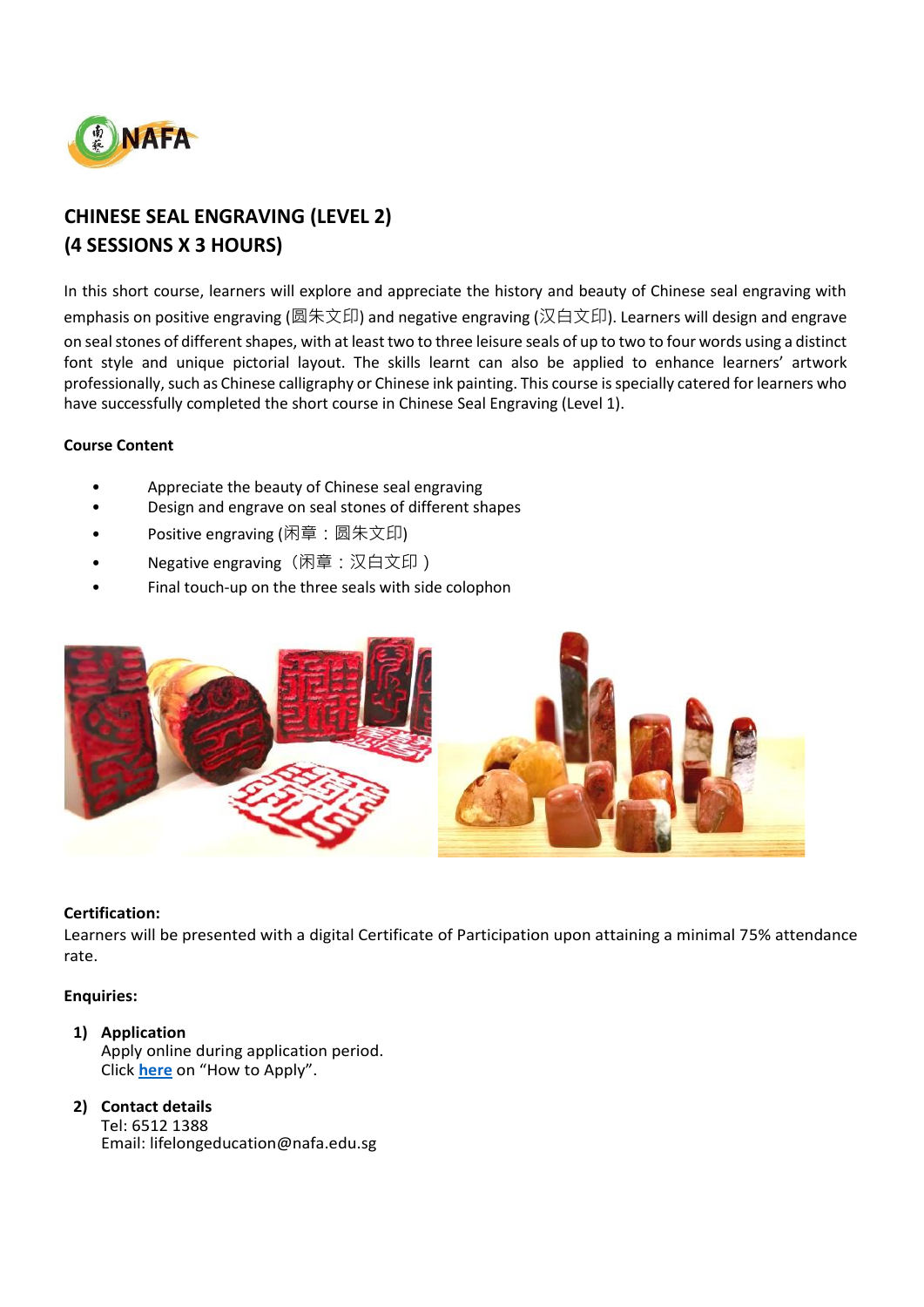

# **CHINESE SEAL ENGRAVING (LEVEL 2) (4 SESSIONS X 3 HOURS)**

In this short course, learners will explore and appreciate the history and beauty of Chinese seal engraving with emphasis on positive engraving (圆朱文印) and negative engraving (汉白文印). Learners will design and engrave on seal stones of different shapes, with at least two to three leisure seals of up to two to four words using a distinct font style and unique pictorial layout. The skills learnt can also be applied to enhance learners' artwork professionally, such as Chinese calligraphy or Chinese ink painting. This course is specially catered for learners who have successfully completed the short course in Chinese Seal Engraving (Level 1).

# **Course Content**

- Appreciate the beauty of Chinese seal engraving
- Design and engrave on seal stones of different shapes
- Positive engraving (闲章: 圆朱文印)
- Negative engraving (闲章: 汉白文印)
- Final touch-up on the three seals with side colophon



### **Certification:**

Learners will be presented with a digital Certificate of Participation upon attaining a minimal 75% attendance rate.

### **Enquiries:**

- **1) Application** Apply online during application period. Click **[here](https://www.nafa.edu.sg/courses/part-time/short-courses#collapseFive)** on "How to Apply".
- **2) Contact details** Tel: 6512 1388 Email: lifelongeducation@nafa.edu.sg